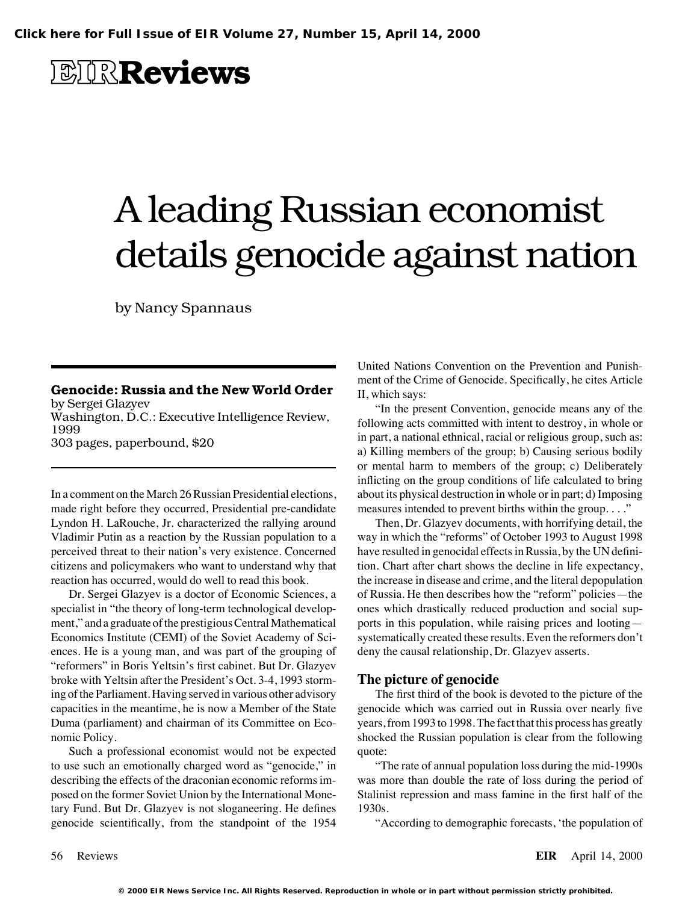**EIRReviews**

# A leading Russian economist details genocide against nation

by Nancy Spannaus

In a comment on the March 26 Russian Presidential elections, about its physical destruction in whole or in part; d) Imposing made right before they occurred, Presidential pre-candidate measures intended to prevent births within the group. . . ." Lyndon H. LaRouche, Jr. characterized the rallying around Then, Dr. Glazyev documents, with horrifying detail, the Vladimir Putin as a reaction by the Russian population to a way in which the "reforms" of October 1993 to August 1998 perceived threat to their nation's very existence. Concerned have resulted in genocidal effects in Russia, by the UN definicitizens and policymakers who want to understand why that tion. Chart after chart shows the decline in life expectancy, reaction has occurred, would do well to read this book. the increase in disease and crime, and the literal depopulation

specialist in "the theory of long-term technological develop- ones which drastically reduced production and social supment," and a graduate of the prestigious Central Mathematical ports in this population, while raising prices and looting— Economics Institute (CEMI) of the Soviet Academy of Sci- systematically created these results. Even the reformers don't ences. He is a young man, and was part of the grouping of deny the causal relationship, Dr. Glazyev asserts. "reformers" in Boris Yeltsin's first cabinet. But Dr. Glazyev broke with Yeltsin after the President's Oct. 3-4, 1993 storm- **The picture of genocide** ing of the Parliament. Having served in various other advisory The first third of the book is devoted to the picture of the capacities in the meantime, he is now a Member of the State genocide which was carried out in Russia over nearly five Duma (parliament) and chairman of its Committee on Eco- years, from 1993 to 1998. The fact that this process has greatly nomic Policy. Shocked the Russian population is clear from the following

Such a professional economist would not be expected quote: to use such an emotionally charged word as "genocide," in "The rate of annual population loss during the mid-1990s describing the effects of the draconian economic reforms im- was more than double the rate of loss during the period of posed on the former Soviet Union by the International Mone- Stalinist repression and mass famine in the first half of the tary Fund. But Dr. Glazyev is not sloganeering. He defines 1930s. genocide scientifically, from the standpoint of the 1954 "According to demographic forecasts, 'the population of

United Nations Convention on the Prevention and Punish-

Genocide: Russia and the New World Order<br>
by Sergei Glazyev<br>
Unit the present Convention, genocide means any of the<br>
Unit of the Crime of Genocide. Specifically, he cites Article<br>
Unit the present Convention, genocide mean or mental harm to members of the group; c) Deliberately inflicting on the group conditions of life calculated to bring

Dr. Sergei Glazyev is a doctor of Economic Sciences, a of Russia. He then describes how the "reform" policies—the